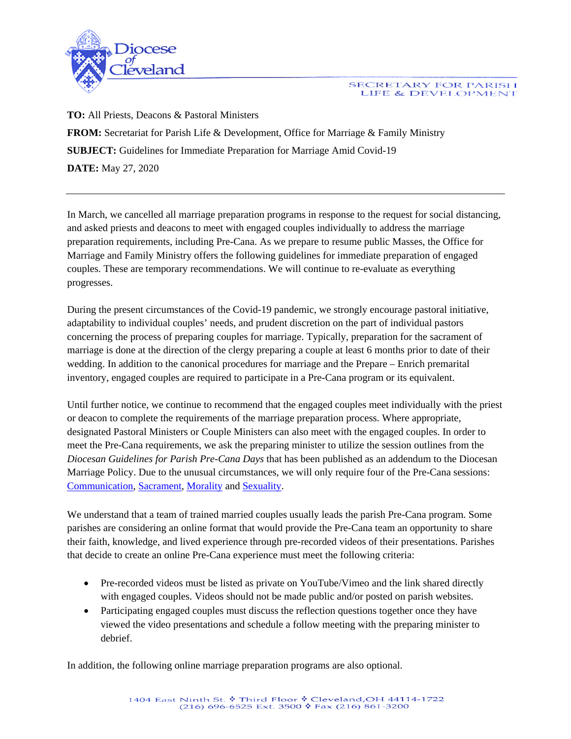

## SECRETARY FOR PARISH LIFE & DEVELOPMENT

**TO:** All Priests, Deacons & Pastoral Ministers **FROM:** Secretariat for Parish Life & Development, Office for Marriage & Family Ministry **SUBJECT:** Guidelines for Immediate Preparation for Marriage Amid Covid-19 **DATE:** May 27, 2020

In March, we cancelled all marriage preparation programs in response to the request for social distancing, and asked priests and deacons to meet with engaged couples individually to address the marriage preparation requirements, including Pre-Cana. As we prepare to resume public Masses, the Office for Marriage and Family Ministry offers the following guidelines for immediate preparation of engaged couples. These are temporary recommendations. We will continue to re-evaluate as everything progresses.

During the present circumstances of the Covid-19 pandemic, we strongly encourage pastoral initiative, adaptability to individual couples' needs, and prudent discretion on the part of individual pastors concerning the process of preparing couples for marriage. Typically, preparation for the sacrament of marriage is done at the direction of the clergy preparing a couple at least 6 months prior to date of their wedding. In addition to the canonical procedures for marriage and the Prepare – Enrich premarital inventory, engaged couples are required to participate in a Pre-Cana program or its equivalent.

Until further notice, we continue to recommend that the engaged couples meet individually with the priest or deacon to complete the requirements of the marriage preparation process. Where appropriate, designated Pastoral Ministers or Couple Ministers can also meet with the engaged couples. In order to meet the Pre-Cana requirements, we ask the preparing minister to utilize the session outlines from the *Diocesan Guidelines for Parish Pre-Cana Days* that has been published as an addendum to the Diocesan Marriage Policy. Due to the unusual circumstances, we will only require four of the Pre-Cana sessions: [Communication,](https://drive.google.com/file/d/1GAZAMvKhc7b9a94Cck6apDRslBw1YFbz/view) [Sacrament,](https://drive.google.com/file/d/1iJPUJQAyVhPm9RaGz9WGp1_B1SL0TRgI/view) [Morality](https://drive.google.com/file/d/1BtEKUh-c-aotNCt2zPcvIchslt12I3zG/view) and [Sexuality.](https://drive.google.com/file/d/1xBxNbyEFfAonr_CxCRokmXsLKx3dKixN/view)

We understand that a team of trained married couples usually leads the parish Pre-Cana program. Some parishes are considering an online format that would provide the Pre-Cana team an opportunity to share their faith, knowledge, and lived experience through pre-recorded videos of their presentations. Parishes that decide to create an online Pre-Cana experience must meet the following criteria:

- Pre-recorded videos must be listed as private on YouTube/Vimeo and the link shared directly with engaged couples. Videos should not be made public and/or posted on parish websites.
- Participating engaged couples must discuss the reflection questions together once they have viewed the video presentations and schedule a follow meeting with the preparing minister to debrief.

In addition, the following online marriage preparation programs are also optional.